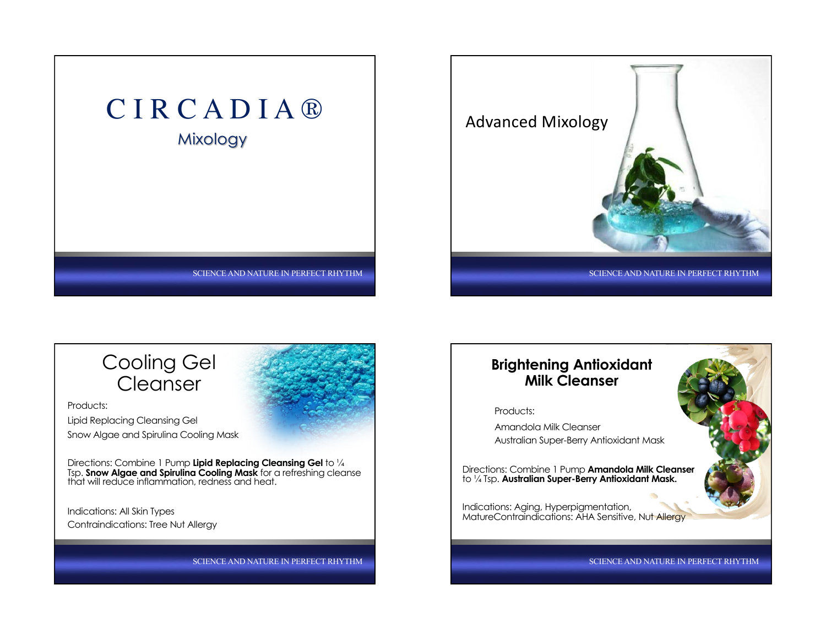





Products: Lipid Replacing Cleansing Gel Snow Algae and Spirulina Cooling Mask

Directions: Combine 1 Pump **Lipid Replacing Cleansing Gel** to ¼ Tsp. **Snow Algae and Spirulina Cooling Mask** for a refreshing cleanse that will reduce inflammation, redness and heat.

Indications: All Skin Types Contraindications: Tree Nut Allergy

SCIENCE AND NATURE IN PERFECT RHYTHM

#### **Brightening Antioxidant Milk Cleanser**

Products:

Amandola Milk Cleanser Australian Super-Berry Antioxidant Mask

Directions: Combine 1 Pump **Amandola Milk Cleanser**  to ¼ Tsp. **Australian Super-Berry Antioxidant Mask.** 

Indications: Aging, Hyperpigmentation, MatureContraindications: AHA Sensitive, Nut Allergy

SCIENCE AND NATURE IN PERFECT RHYTHM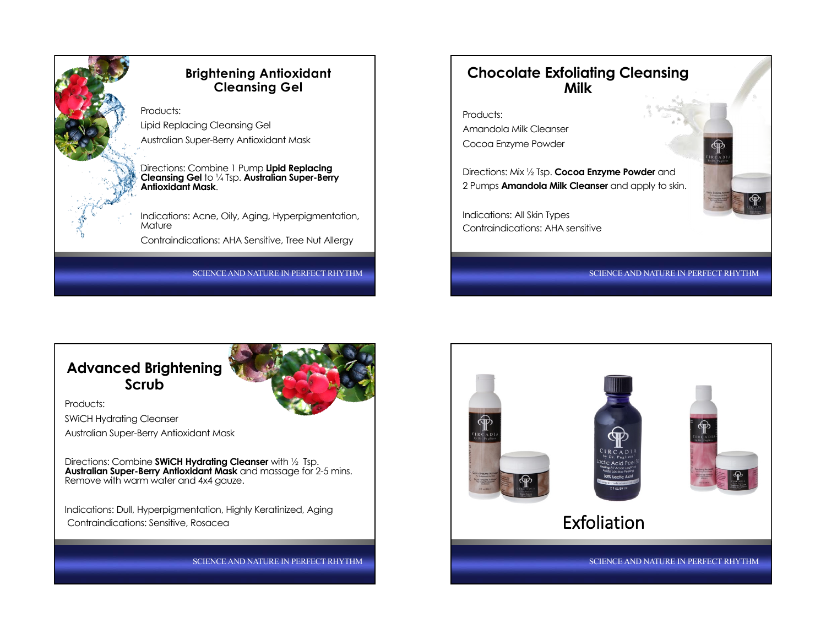

#### **Brightening Antioxidant Cleansing Gel**

Products: Lipid Replacing Cleansing Gel Australian Super-Berry Antioxidant Mask

Directions: Combine 1 Pump **Lipid Replacing Cleansing Gel** to ¼ Tsp. **Australian Super-Berry Antioxidant Mask**.

Indications: Acne, Oily, Aging, Hyperpigmentation, **Mature** 

Contraindications: AHA Sensitive, Tree Nut Allergy

SCIENCE AND NATURE IN PERFECT RHYTHM

## **Chocolate Exfoliating Cleansing Milk**

Products: Amandola Milk Cleanser Cocoa Enzyme Powder

Directions: Mix ½ Tsp. **Cocoa Enzyme Powder** and 2 Pumps **Amandola Milk Cleanser** and apply to skin.

Indications: All Skin Types Contraindications: AHA sensitive

SCIENCE AND NATURE IN PERFECT RHYTHM

## **Advanced Brightening Scrub**



Products: SWiCH Hydrating Cleanser

Australian Super-Berry Antioxidant Mask

Directions: Combine **SWiCH Hydrating Cleanser** with ½ Tsp. **Australian Super-Berry Antioxidant Mask** and massage for 2-5 mins. Remove with warm water and 4x4 gauze.

Indications: Dull, Hyperpigmentation, Highly Keratinized, Aging Contraindications: Sensitive, Rosacea

SCIENCE AND NATURE IN PERFECT RHYTHM

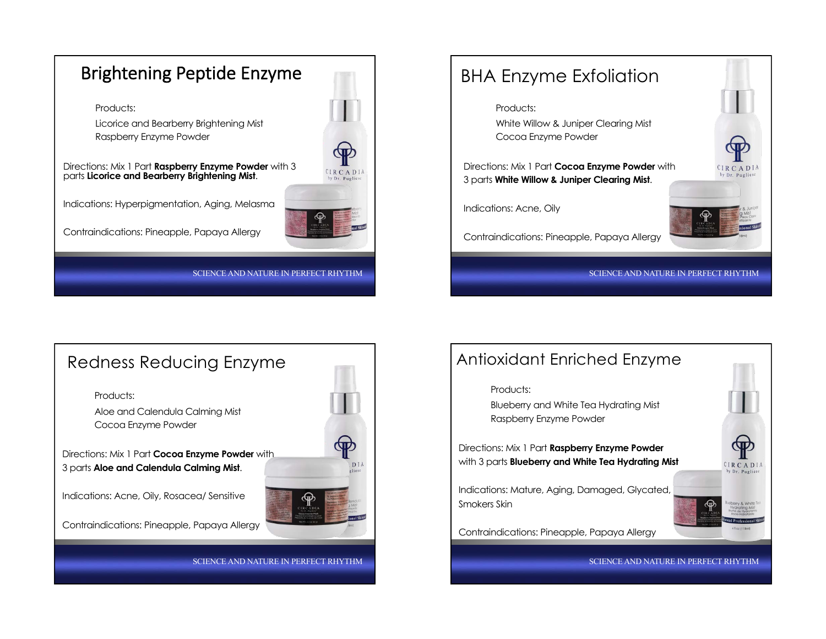





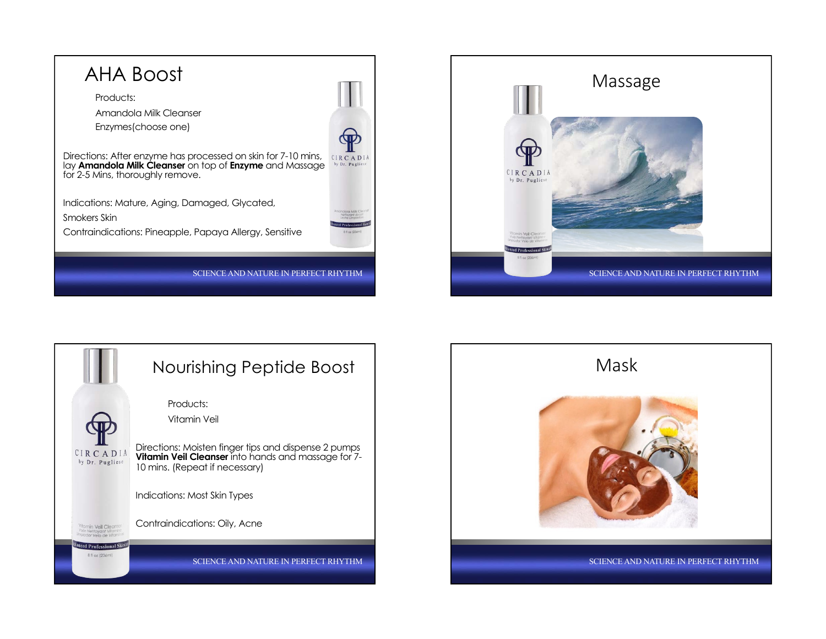